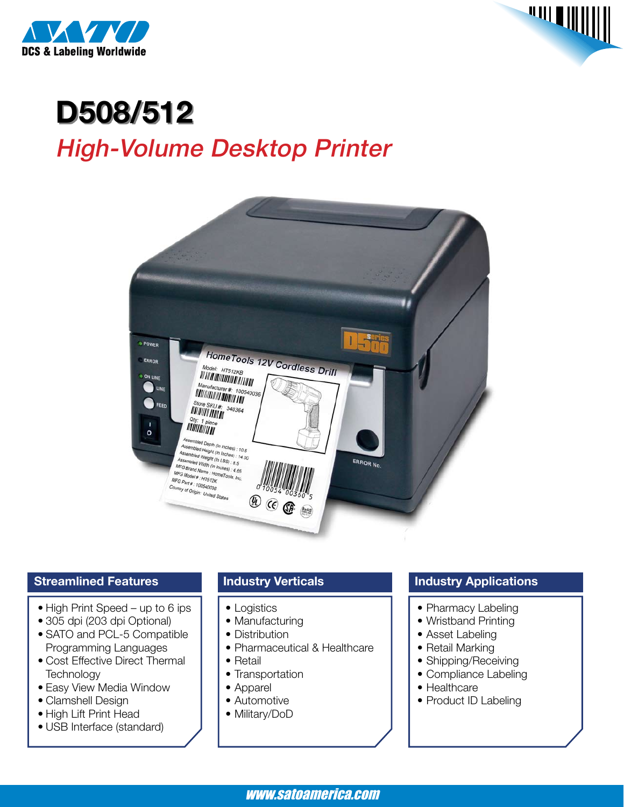



# **D508/512**

## High-Volume Desktop Printer



#### **Streamlined Features**

- High Print Speed up to 6 ips
- • 305 dpi (203 dpi Optional)
- SATO and PCL-5 Compatible Programming Languages
- Cost Effective Direct Thermal **Technology**
- Easy View Media Window
- Clamshell Design
- High Lift Print Head
- • USB Interface (standard)

#### **Industry Verticals**

- Logistics
- Manufacturing
- Distribution
- Pharmaceutical & Healthcare
- Retail
- Transportation
- • Apparel
- Automotive
- Military/DoD

#### **Industry Applications**

- Pharmacy Labeling
- Wristband Printing
- Asset Labeling
- Retail Marking
- Shipping/Receiving
- Compliance Labeling
- Healthcare
- Product ID Labeling